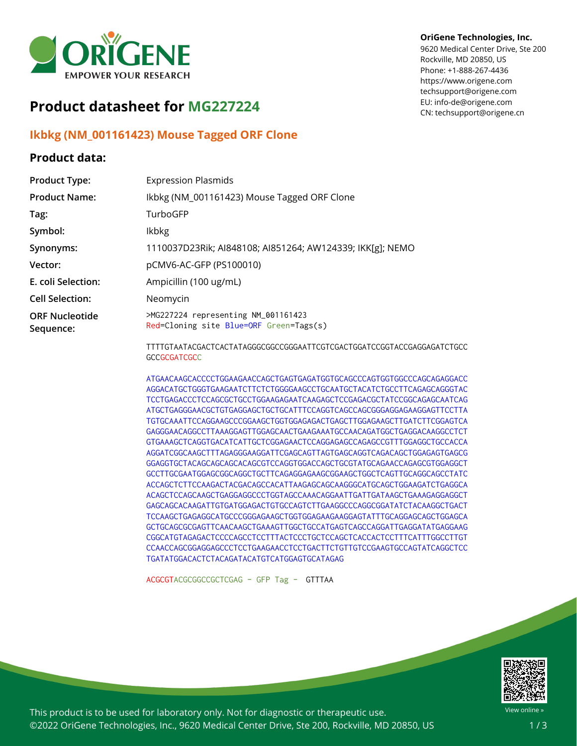

## **Product datasheet for MG227224**

## **Ikbkg (NM\_001161423) Mouse Tagged ORF Clone**

## **Product data:**

## **OriGene Technologies, Inc.**

9620 Medical Center Drive, Ste 200 Rockville, MD 20850, US Phone: +1-888-267-4436 https://www.origene.com techsupport@origene.com EU: info-de@origene.com CN: techsupport@origene.cn

| <b>Product Type:</b>               | <b>Expression Plasmids</b>                                                     |
|------------------------------------|--------------------------------------------------------------------------------|
| <b>Product Name:</b>               | Ikbkg (NM_001161423) Mouse Tagged ORF Clone                                    |
| Tag:                               | TurboGFP                                                                       |
| Symbol:                            | <b>Ikbkg</b>                                                                   |
| Synonyms:                          | 1110037D23Rik; AI848108; AI851264; AW124339; IKK[g]; NEMO                      |
| Vector:                            | pCMV6-AC-GFP (PS100010)                                                        |
| E. coli Selection:                 | Ampicillin (100 ug/mL)                                                         |
| <b>Cell Selection:</b>             | Neomycin                                                                       |
| <b>ORF Nucleotide</b><br>Sequence: | >MG227224 representing NM_001161423<br>Red=Cloning site Blue=ORF Green=Tags(s) |
|                                    | TTTTGTAATACGACTCACTATAGGGCGGCCGGGAATTCGTCGACTGGATCCGGTACCGAGC                  |

GAGATCTGCC **GCCGCGATCGCC** 

ATGAACAAGCACCCCTGGAAGAACCAGCTGAGTGAGATGGTGCAGCCCAGTGGTGGCCCAGCAGAGGACC AGGACATGCTGGGTGAAGAATCTTCTCTGGGGAAGCCTGCAATGCTACATCTGCCTTCAGAGCAGGGTAC TCCTGAGACCCTCCAGCGCTGCCTGGAAGAGAATCAAGAGCTCCGAGACGCTATCCGGCAGAGCAATCAG ATGCTGAGGGAACGCTGTGAGGAGCTGCTGCATTTCCAGGTCAGCCAGCGGGAGGAGAAGGAGTTCCTTA TGTGCAAATTCCAGGAAGCCCGGAAGCTGGTGGAGAGACTGAGCTTGGAGAAGCTTGATCTTCGGAGTCA GAGGGAACAGGCCTTAAAGGAGTTGGAGCAACTGAAGAAATGCCAACAGATGGCTGAGGACAAGGCCTCT GTGAAAGCTCAGGTGACATCATTGCTCGGAGAACTCCAGGAGAGCCAGAGCCGTTTGGAGGCTGCCACCA AGGATCGGCAAGCTTTAGAGGGAAGGATTCGAGCAGTTAGTGAGCAGGTCAGACAGCTGGAGAGTGAGCG GGAGGTGCTACAGCAGCAGCACAGCGTCCAGGTGGACCAGCTGCGTATGCAGAACCAGAGCGTGGAGGCT GCCTTGCGAATGGAGCGGCAGGCTGCTTCAGAGGAGAAGCGGAAGCTGGCTCAGTTGCAGGCAGCCTATC ACCAGCTCTTCCAAGACTACGACAGCCACATTAAGAGCAGCAAGGGCATGCAGCTGGAAGATCTGAGGCA ACAGCTCCAGCAAGCTGAGGAGGCCCTGGTAGCCAAACAGGAATTGATTGATAAGCTGAAAGAGGAGGCT GAGCAGCACAAGATTGTGATGGAGACTGTGCCAGTCTTGAAGGCCCAGGCGGATATCTACAAGGCTGACT TCCAAGCTGAGAGGCATGCCCGGGAGAAGCTGGTGGAGAAGAAGGAGTATTTGCAGGAGCAGCTGGAGCA GCTGCAGCGCGAGTTCAACAAGCTGAAAGTTGGCTGCCATGAGTCAGCCAGGATTGAGGATATGAGGAAG CGGCATGTAGAGACTCCCCAGCCTCCTTTACTCCCTGCTCCAGCTCACCACTCCTTTCATTTGGCCTTGT CCAACCAGCGGAGGAGCCCTCCTGAAGAACCTCCTGACTTCTGTTGTCCGAAGTGCCAGTATCAGGCTCC TGATATGGACACTCTACAGATACATGTCATGGAGTGCATAGAG

ACGCGTACGCGGCCGCTCGAG - GFP Tag - GTTTAA



View online »

This product is to be used for laboratory only. Not for diagnostic or therapeutic use. ©2022 OriGene Technologies, Inc., 9620 Medical Center Drive, Ste 200, Rockville, MD 20850, US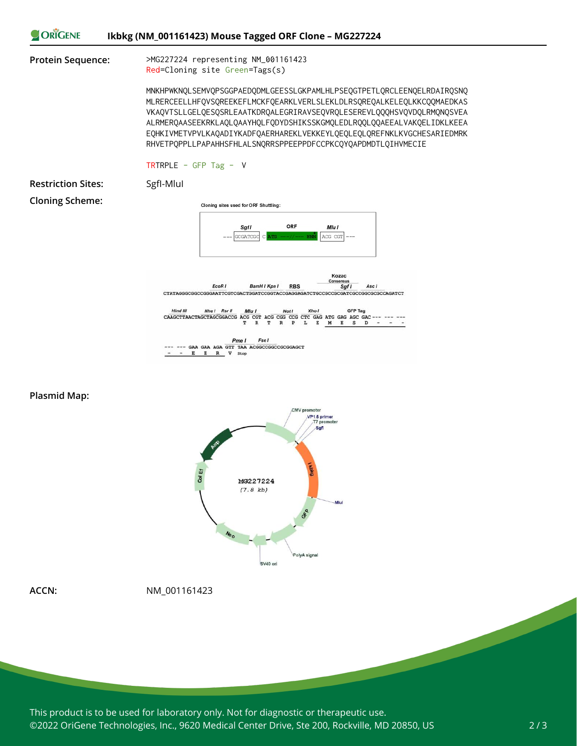



**ACCN:** NM\_001161423

This product is to be used for laboratory only. Not for diagnostic or therapeutic use. ©2022 OriGene Technologies, Inc., 9620 Medical Center Drive, Ste 200, Rockville, MD 20850, US